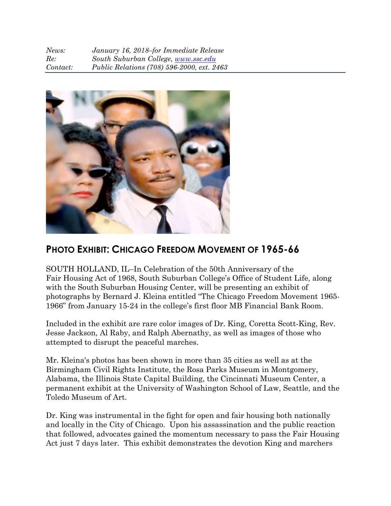| News:    | January 16, 2018–for Immediate Release     |
|----------|--------------------------------------------|
| Re:      | South Suburban College, www.ssc.edu        |
| Contact: | Public Relations (708) 596-2000, ext. 2463 |



## **PHOTO EXHIBIT: CHICAGO FREEDOM MOVEMENT OF 1965-66**

SOUTH HOLLAND, IL–In Celebration of the 50th Anniversary of the Fair Housing Act of 1968, South Suburban College's Office of Student Life, along with the South Suburban Housing Center, will be presenting an exhibit of photographs by Bernard J. Kleina entitled "The Chicago Freedom Movement 1965- 1966" from January 15-24 in the college's first floor MB Financial Bank Room.

Included in the exhibit are rare color images of Dr. King, Coretta Scott-King, Rev. Jesse Jackson, Al Raby, and Ralph Abernathy, as well as images of those who attempted to disrupt the peaceful marches.

Mr. Kleina's photos has been shown in more than 35 cities as well as at the Birmingham Civil Rights Institute, the Rosa Parks Museum in Montgomery, Alabama, the Illinois State Capital Building, the Cincinnati Museum Center, a permanent exhibit at the University of Washington School of Law, Seattle, and the Toledo Museum of Art.

Dr. King was instrumental in the fight for open and fair housing both nationally and locally in the City of Chicago. Upon his assassination and the public reaction that followed, advocates gained the momentum necessary to pass the Fair Housing Act just 7 days later. This exhibit demonstrates the devotion King and marchers